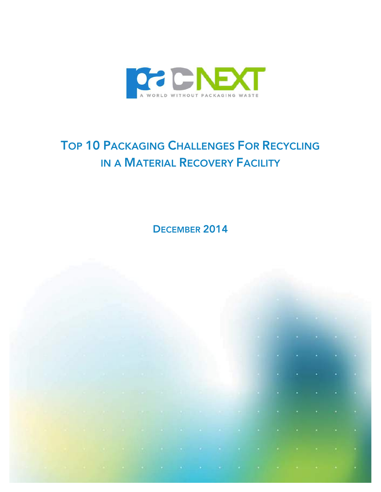

# TOP 10 PACKAGING CHALLENGES FOR RECYCLING IN A MATERIAL RECOVERY FACILITY

DECEMBER 2014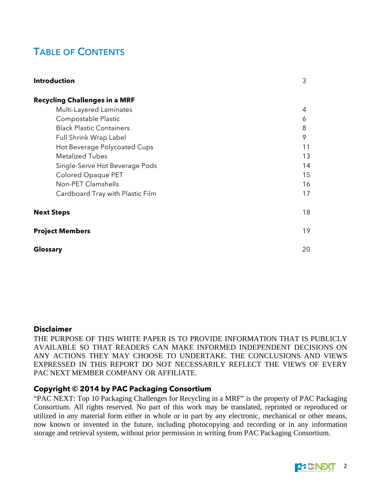# TABLE OF CONTENTS

| <b>Introduction</b>                  | 3  |
|--------------------------------------|----|
| <b>Recycling Challenges in a MRF</b> |    |
| Multi-Layered Laminates              | 4  |
| Compostable Plastic                  | 6  |
| <b>Black Plastic Containers</b>      | 8  |
| Full Shrink Wrap Label               | 9  |
| Hot Beverage Polycoated Cups         | 11 |
| <b>Metalized Tubes</b>               | 13 |
| Single-Serve Hot Beverage Pods       | 14 |
| Colored Opaque PET                   | 15 |
| Non-PET Clamshells                   | 16 |
| Cardboard Tray with Plastic Film     | 17 |
| <b>Next Steps</b>                    | 18 |
| <b>Project Members</b>               | 19 |
| Glossary                             | 20 |

#### **Disclaimer**

THE PURPOSE OF THIS WHITE PAPER IS TO PROVIDE INFORMATION THAT IS PUBLICLY AVAILABLE SO THAT READERS CAN MAKE INFORMED INDEPENDENT DECISIONS ON ANY ACTIONS THEY MAY CHOOSE TO UNDERTAKE. THE CONCLUSIONS AND VIEWS EXPRESSED IN THIS REPORT DO NOT NECESSARILY REFLECT THE VIEWS OF EVERY PAC NEXT MEMBER COMPANY OR AFFILIATE.

#### **Copyright © 2014 by PAC Packaging Consortium**

"PAC NEXT: Top 10 Packaging Challenges for Recycling in a MRF" is the property of PAC Packaging Consortium. All rights reserved. No part of this work may be translated, reprinted or reproduced or utilized in any material form either in whole or in part by any electronic, mechanical or other means, now known or invented in the future, including photocopying and recording or in any information storage and retrieval system, without prior permission in writing from PAC Packaging Consortium.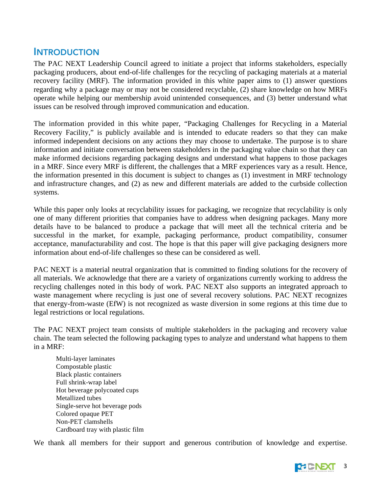## **INTRODUCTION**

The PAC NEXT Leadership Council agreed to initiate a project that informs stakeholders, especially packaging producers, about end-of-life challenges for the recycling of packaging materials at a material recovery facility (MRF). The information provided in this white paper aims to (1) answer questions regarding why a package may or may not be considered recyclable, (2) share knowledge on how MRFs operate while helping our membership avoid unintended consequences, and (3) better understand what issues can be resolved through improved communication and education.

The information provided in this white paper, "Packaging Challenges for Recycling in a Material Recovery Facility," is publicly available and is intended to educate readers so that they can make informed independent decisions on any actions they may choose to undertake. The purpose is to share information and initiate conversation between stakeholders in the packaging value chain so that they can make informed decisions regarding packaging designs and understand what happens to those packages in a MRF. Since every MRF is different, the challenges that a MRF experiences vary as a result. Hence, the information presented in this document is subject to changes as (1) investment in MRF technology and infrastructure changes, and (2) as new and different materials are added to the curbside collection systems.

While this paper only looks at recyclability issues for packaging, we recognize that recyclability is only one of many different priorities that companies have to address when designing packages. Many more details have to be balanced to produce a package that will meet all the technical criteria and be successful in the market, for example, packaging performance, product compatibility, consumer acceptance, manufacturability and cost. The hope is that this paper will give packaging designers more information about end-of-life challenges so these can be considered as well.

PAC NEXT is a material neutral organization that is committed to finding solutions for the recovery of all materials. We acknowledge that there are a variety of organizations currently working to address the recycling challenges noted in this body of work. PAC NEXT also supports an integrated approach to waste management where recycling is just one of several recovery solutions. PAC NEXT recognizes that energy-from-waste (EfW) is not recognized as waste diversion in some regions at this time due to legal restrictions or local regulations.

The PAC NEXT project team consists of multiple stakeholders in the packaging and recovery value chain. The team selected the following packaging types to analyze and understand what happens to them in a MRF:

Multi-layer laminates Compostable plastic Black plastic containers Full shrink-wrap label Hot beverage polycoated cups Metallized tubes Single-serve hot beverage pods Colored opaque PET Non-PET clamshells Cardboard tray with plastic film

We thank all members for their support and generous contribution of knowledge and expertise.

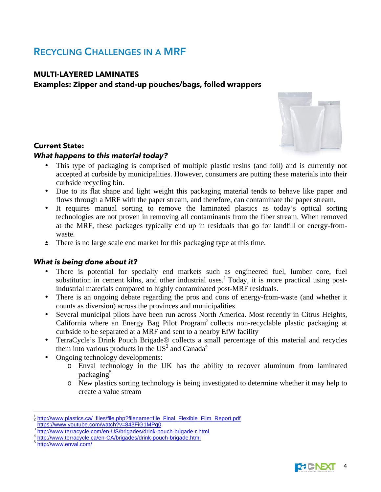# RECYCLING CHALLENGES IN A MRF

#### **MULTI-LAYERED LAMINATES**

### **Examples: Zipper and stand-up pouches/bags, foiled wrappers**



#### **Current State:**

#### *What happens to this material today?*

- This type of packaging is comprised of multiple plastic resins (and foil) and is currently not accepted at curbside by municipalities. However, consumers are putting these materials into their curbside recycling bin.
- Due to its flat shape and light weight this packaging material tends to behave like paper and flows through a MRF with the paper stream, and therefore, can contaminate the paper stream.
- It requires manual sorting to remove the laminated plastics as today's optical sorting technologies are not proven in removing all contaminants from the fiber stream. When removed at the MRF, these packages typically end up in residuals that go for landfill or energy-fromwaste.
- There is no large scale end market for this packaging type at this time.

### *What is being done about it?*

- There is potential for specialty end markets such as engineered fuel, lumber core, fuel substitution in cement kilns, and other industrial uses.<sup>1</sup> Today, it is more practical using postindustrial materials compared to highly contaminated post-MRF residuals.
- There is an ongoing debate regarding the pros and cons of energy-from-waste (and whether it counts as diversion) across the provinces and municipalities
- Several municipal pilots have been run across North America. Most recently in Citrus Heights, California where an Energy Bag Pilot Program<sup>2</sup> collects non-recyclable plastic packaging at curbside to be separated at a MRF and sent to a nearby EfW facility
- TerraCycle's Drink Pouch Brigade® collects a small percentage of this material and recycles them into various products in the  $US^3$  and Canada<sup>4</sup>
- Ongoing technology developments:
	- o Enval technology in the UK has the ability to recover aluminum from laminated packaging<sup>5</sup>
	- o New plastics sorting technology is being investigated to determine whether it may help to create a value stream



 <sup>1</sup> <sup>2</sup> http://www.plastics.ca/\_files/file.php?filename=file\_Final\_Flexible\_Film\_Report.pdf https://www.youtube.com/watch?v=843FiG1MPg0

<sup>&</sup>lt;sup>3</sup> http://www.terracycle.com/en-US/brigades/drink-pouch-brigade-r.html<br>4 http://www.terracycle.ca/en-CA/brigades/drink-pouch-brigade.html<br><sup>5</sup> http://www.enval.com/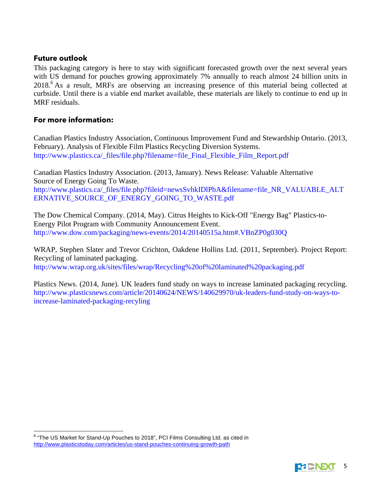#### **Future outlook**

This packaging category is here to stay with significant forecasted growth over the next several years with US demand for pouches growing approximately 7% annually to reach almost 24 billion units in 2018. <sup>6</sup> As a result, MRFs are observing an increasing presence of this material being collected at curbside. Until there is a viable end market available, these materials are likely to continue to end up in MRF residuals.

#### **For more information:**

Canadian Plastics Industry Association, Continuous Improvement Fund and Stewardship Ontario. (2013, February). Analysis of Flexible Film Plastics Recycling Diversion Systems. http://www.plastics.ca/\_files/file.php?filename=file\_Final\_Flexible\_Film\_Report.pdf

Canadian Plastics Industry Association. (2013, January). News Release: Valuable Alternative Source of Energy Going To Waste. http://www.plastics.ca/\_files/file.php?fileid=newsSvhkIDlPbA&filename=file\_NR\_VALUABLE\_ALT ERNATIVE\_SOURCE\_OF\_ENERGY\_GOING\_TO\_WASTE.pdf

The Dow Chemical Company. (2014, May). Citrus Heights to Kick-Off "Energy Bag" Plastics-to-Energy Pilot Program with Community Announcement Event. http://www.dow.com/packaging/news-events/2014/20140515a.htm#.VBnZP0g030Q

WRAP, Stephen Slater and Trevor Crichton, Oakdene Hollins Ltd. (2011, September). Project Report: Recycling of laminated packaging. http://www.wrap.org.uk/sites/files/wrap/Recycling%20of%20laminated%20packaging.pdf

Plastics News. (2014, June). UK leaders fund study on ways to increase laminated packaging recycling. http://www.plasticsnews.com/article/20140624/NEWS/140629970/uk-leaders-fund-study-on-ways-toincrease-laminated-packaging-recyling



 <sup>6</sup> "The US Market for Stand-Up Pouches to 2018", PCI Films Consulting Ltd. as cited in http://www.plasticstoday.com/articles/us-stand-pouches-continuing-growth-path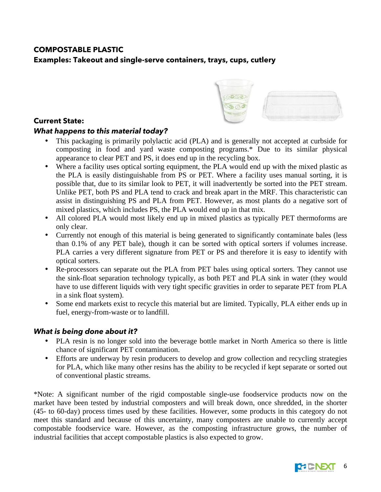## **COMPOSTABLE PLASTIC**

**Examples: Takeout and single-serve containers, trays, cups, cutlery**



#### **Current State:**

## *What happens to this material today?*

- This packaging is primarily polylactic acid (PLA) and is generally not accepted at curbside for composting in food and yard waste composting programs.\* Due to its similar physical appearance to clear PET and PS, it does end up in the recycling box.
- Where a facility uses optical sorting equipment, the PLA would end up with the mixed plastic as the PLA is easily distinguishable from PS or PET. Where a facility uses manual sorting, it is possible that, due to its similar look to PET, it will inadvertently be sorted into the PET stream. Unlike PET, both PS and PLA tend to crack and break apart in the MRF. This characteristic can assist in distinguishing PS and PLA from PET. However, as most plants do a negative sort of mixed plastics, which includes PS, the PLA would end up in that mix.
- All colored PLA would most likely end up in mixed plastics as typically PET thermoforms are only clear.
- Currently not enough of this material is being generated to significantly contaminate bales (less than 0.1% of any PET bale), though it can be sorted with optical sorters if volumes increase. PLA carries a very different signature from PET or PS and therefore it is easy to identify with optical sorters.
- Re-processors can separate out the PLA from PET bales using optical sorters. They cannot use the sink-float separation technology typically, as both PET and PLA sink in water (they would have to use different liquids with very tight specific gravities in order to separate PET from PLA in a sink float system).
- Some end markets exist to recycle this material but are limited. Typically, PLA either ends up in fuel, energy-from-waste or to landfill.

### *What is being done about it?*

- PLA resin is no longer sold into the beverage bottle market in North America so there is little chance of significant PET contamination.
- Efforts are underway by resin producers to develop and grow collection and recycling strategies for PLA, which like many other resins has the ability to be recycled if kept separate or sorted out of conventional plastic streams.

\*Note: A significant number of the rigid compostable single-use foodservice products now on the market have been tested by industrial composters and will break down, once shredded, in the shorter (45- to 60-day) process times used by these facilities. However, some products in this category do not meet this standard and because of this uncertainty, many composters are unable to currently accept compostable foodservice ware. However, as the composting infrastructure grows, the number of industrial facilities that accept compostable plastics is also expected to grow.

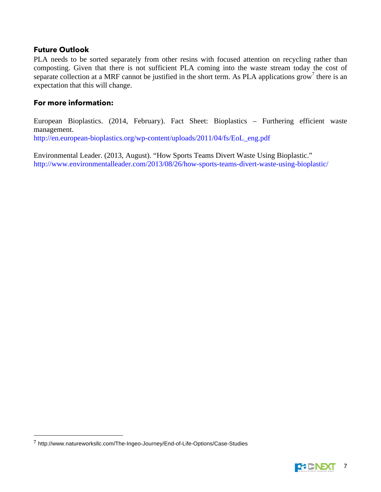#### **Future Outlook**

PLA needs to be sorted separately from other resins with focused attention on recycling rather than composting. Given that there is not sufficient PLA coming into the waste stream today the cost of separate collection at a MRF cannot be justified in the short term. As PLA applications grow<sup>7</sup> there is an expectation that this will change.

#### **For more information:**

European Bioplastics. (2014, February). Fact Sheet: Bioplastics – Furthering efficient waste management. http://en.european-bioplastics.org/wp-content/uploads/2011/04/fs/EoL\_eng.pdf

Environmental Leader. (2013, August). "How Sports Teams Divert Waste Using Bioplastic." http://www.environmentalleader.com/2013/08/26/how-sports-teams-divert-waste-using-bioplastic/

 



<sup>7</sup> http://www.natureworksllc.com/The-Ingeo-Journey/End-of-Life-Options/Case-Studies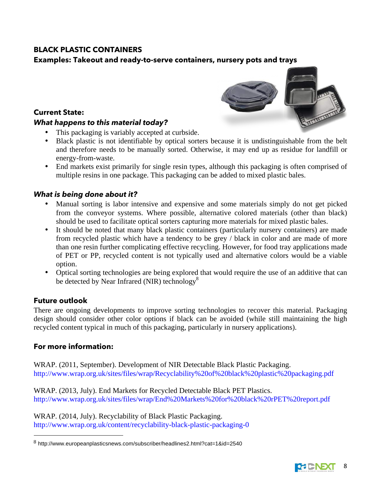## **BLACK PLASTIC CONTAINERS**

## **Examples: Takeout and ready-to-serve containers, nursery pots and trays**

#### **Current State:**

#### *What happens to this material today?*

- This packaging is variably accepted at curbside.
- Black plastic is not identifiable by optical sorters because it is undistinguishable from the belt and therefore needs to be manually sorted. Otherwise, it may end up as residue for landfill or energy-from-waste.
- End markets exist primarily for single resin types, although this packaging is often comprised of multiple resins in one package. This packaging can be added to mixed plastic bales.

#### *What is being done about it?*

- Manual sorting is labor intensive and expensive and some materials simply do not get picked from the conveyor systems. Where possible, alternative colored materials (other than black) should be used to facilitate optical sorters capturing more materials for mixed plastic bales.
- It should be noted that many black plastic containers (particularly nursery containers) are made from recycled plastic which have a tendency to be grey / black in color and are made of more than one resin further complicating effective recycling. However, for food tray applications made of PET or PP, recycled content is not typically used and alternative colors would be a viable option.
- Optical sorting technologies are being explored that would require the use of an additive that can be detected by Near Infrared (NIR) technology<sup>8</sup>

#### **Future outlook**

There are ongoing developments to improve sorting technologies to recover this material. Packaging design should consider other color options if black can be avoided (while still maintaining the high recycled content typical in much of this packaging, particularly in nursery applications).

#### **For more information:**

 

WRAP. (2011, September). Development of NIR Detectable Black Plastic Packaging. http://www.wrap.org.uk/sites/files/wrap/Recyclability%20of%20black%20plastic%20packaging.pdf

WRAP. (2013, July). End Markets for Recycled Detectable Black PET Plastics. http://www.wrap.org.uk/sites/files/wrap/End%20Markets%20for%20black%20rPET%20report.pdf

WRAP. (2014, July). Recyclability of Black Plastic Packaging. http://www.wrap.org.uk/content/recyclability-black-plastic-packaging-0





 $8$  http://www.europeanplasticsnews.com/subscriber/headlines2.html?cat=1&id=2540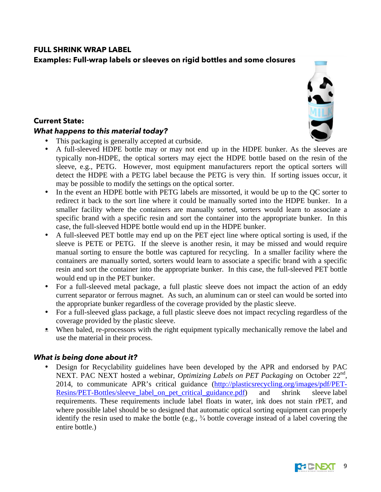## **FULL SHRINK WRAP LABEL**

## **Examples: Full-wrap labels or sleeves on rigid bottles and some closures**

#### **Current State:**

#### *What happens to this material today?*

JEL

- This packaging is generally accepted at curbside.
- A full-sleeved HDPE bottle may or may not end up in the HDPE bunker. As the sleeves are typically non-HDPE, the optical sorters may eject the HDPE bottle based on the resin of the sleeve, e.g., PETG. However, most equipment manufacturers report the optical sorters will detect the HDPE with a PETG label because the PETG is very thin. If sorting issues occur, it may be possible to modify the settings on the optical sorter.
- In the event an HDPE bottle with PETG labels are missorted, it would be up to the QC sorter to redirect it back to the sort line where it could be manually sorted into the HDPE bunker. In a smaller facility where the containers are manually sorted, sorters would learn to associate a specific brand with a specific resin and sort the container into the appropriate bunker. In this case, the full-sleeved HDPE bottle would end up in the HDPE bunker.
- A full-sleeved PET bottle may end up on the PET eject line where optical sorting is used, if the sleeve is PETE or PETG. If the sleeve is another resin, it may be missed and would require manual sorting to ensure the bottle was captured for recycling. In a smaller facility where the containers are manually sorted, sorters would learn to associate a specific brand with a specific resin and sort the container into the appropriate bunker. In this case, the full-sleeved PET bottle would end up in the PET bunker.
- For a full-sleeved metal package, a full plastic sleeve does not impact the action of an eddy current separator or ferrous magnet. As such, an aluminum can or steel can would be sorted into the appropriate bunker regardless of the coverage provided by the plastic sleeve.
- For a full-sleeved glass package, a full plastic sleeve does not impact recycling regardless of the coverage provided by the plastic sleeve.
- When baled, re-processors with the right equipment typically mechanically remove the label and use the material in their process.

### *What is being done about it?*

• Design for Recyclability guidelines have been developed by the APR and endorsed by PAC NEXT. PAC NEXT hosted a webinar, *Optimizing Labels on PET Packaging* on October 22<sup>nd</sup>, 2014, to communicate APR's critical guidance (http://plasticsrecycling.org/images/pdf/PET-Resins/PET-Bottles/sleeve\_label\_on\_pet\_critical\_guidance.pdf) and shrink sleeve label requirements. These requirements include label floats in water, ink does not stain rPET, and where possible label should be so designed that automatic optical sorting equipment can properly identify the resin used to make the bottle (e.g., ¾ bottle coverage instead of a label covering the entire bottle.)

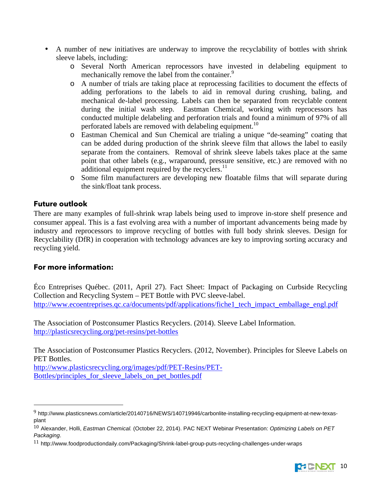- A number of new initiatives are underway to improve the recyclability of bottles with shrink sleeve labels, including:
	- o Several North American reprocessors have invested in delabeling equipment to mechanically remove the label from the container.<sup>9</sup>
	- o A number of trials are taking place at reprocessing facilities to document the effects of adding perforations to the labels to aid in removal during crushing, baling, and mechanical de-label processing. Labels can then be separated from recyclable content during the initial wash step. Eastman Chemical, working with reprocessors has conducted multiple delabeling and perforation trials and found a minimum of 97% of all perforated labels are removed with delabeling equipment.<sup>10</sup>
	- o Eastman Chemical and Sun Chemical are trialing a unique "de-seaming" coating that can be added during production of the shrink sleeve film that allows the label to easily separate from the containers. Removal of shrink sleeve labels takes place at the same point that other labels (e.g., wraparound, pressure sensitive, etc.) are removed with no additional equipment required by the recyclers.<sup>11</sup>
	- o Some film manufacturers are developing new floatable films that will separate during the sink/float tank process.

#### **Future outlook**

There are many examples of full-shrink wrap labels being used to improve in-store shelf presence and consumer appeal. This is a fast evolving area with a number of important advancements being made by industry and reprocessors to improve recycling of bottles with full body shrink sleeves. Design for Recyclability (DfR) in cooperation with technology advances are key to improving sorting accuracy and recycling yield.

#### **For more information:**

 

Éco Entreprises Québec. (2011, April 27). Fact Sheet: Impact of Packaging on Curbside Recycling Collection and Recycling System – PET Bottle with PVC sleeve-label. http://www.ecoentreprises.qc.ca/documents/pdf/applications/fiche1\_tech\_impact\_emballage\_engl.pdf

The Association of Postconsumer Plastics Recyclers. (2014). Sleeve Label Information. http://plasticsrecycling.org/pet-resins/pet-bottles

The Association of Postconsumer Plastics Recyclers. (2012, November). Principles for Sleeve Labels on PET Bottles.

http://www.plasticsrecycling.org/images/pdf/PET-Resins/PET-Bottles/principles for sleeve labels on pet bottles.pdf

<sup>11</sup> http://www.foodproductiondaily.com/Packaging/Shrink-label-group-puts-recycling-challenges-under-wraps



<sup>9</sup> http://www.plasticsnews.com/article/20140716/NEWS/140719946/carbonlite-installing-recycling-equipment-at-new-texasplant

 $^{10}$  Alexander, Holli, Eastman Chemical. (October 22, 2014). PAC NEXT Webinar Presentation: Optimizing Labels on PET Packaging.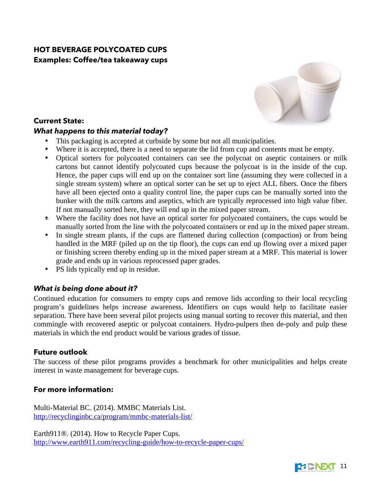## **HOT BEVERAGE POLYCOATED CUPS Examples: Coffee/tea takeaway cups**



## **Current State:**

#### *What happens to this material today?*

- This packaging is accepted at curbside by some but not all municipalities.
- Where it is accepted, there is a need to separate the lid from cup and contents must be empty.
- Optical sorters for polycoated containers can see the polycoat on aseptic containers or milk cartons but cannot identify polycoated cups because the polycoat is in the inside of the cup. Hence, the paper cups will end up on the container sort line (assuming they were collected in a single stream system) where an optical sorter can be set up to eject ALL fibers. Once the fibers have all been ejected onto a quality control line, the paper cups can be manually sorted into the bunker with the milk cartons and aseptics, which are typically reprocessed into high value fiber. If not manually sorted here, they will end up in the mixed paper stream.
- Where the facility does not have an optical sorter for polycoated containers, the cups would be manually sorted from the line with the polycoated containers or end up in the mixed paper stream.
- In single stream plants, if the cups are flattened during collection (compaction) or from being handled in the MRF (piled up on the tip floor), the cups can end up flowing over a mixed paper or finishing screen thereby ending up in the mixed paper stream at a MRF. This material is lower grade and ends up in various reprocessed paper grades.
- PS lids typically end up in residue.

### *What is being done about it?*

Continued education for consumers to empty cups and remove lids according to their local recycling program's guidelines helps increase awareness. Identifiers on cups would help to facilitate easier separation. There have been several pilot projects using manual sorting to recover this material, and then commingle with recovered aseptic or polycoat containers. Hydro-pulpers then de-poly and pulp these materials in which the end product would be various grades of tissue.

#### **Future outlook**

The success of these pilot programs provides a benchmark for other municipalities and helps create interest in waste management for beverage cups.

### **For more information:**

Multi-Material BC. (2014). MMBC Materials List. http://recyclinginbc.ca/program/mmbc-materials-list/

Earth911®. (2014). How to Recycle Paper Cups. http://www.earth911.com/recycling-guide/how-to-recycle-paper-cups/

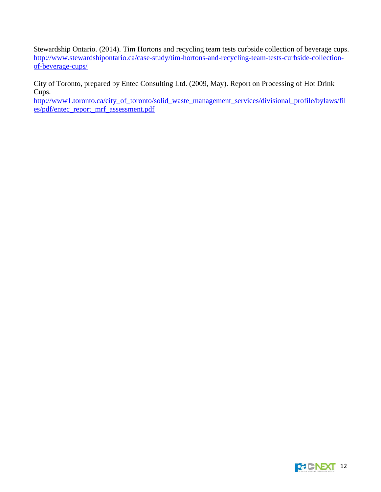Stewardship Ontario. (2014). Tim Hortons and recycling team tests curbside collection of beverage cups. http://www.stewardshipontario.ca/case-study/tim-hortons-and-recycling-team-tests-curbside-collectionof-beverage-cups/

City of Toronto, prepared by Entec Consulting Ltd. (2009, May). Report on Processing of Hot Drink Cups.

http://www1.toronto.ca/city\_of\_toronto/solid\_waste\_management\_services/divisional\_profile/bylaws/fil es/pdf/entec\_report\_mrf\_assessment.pdf

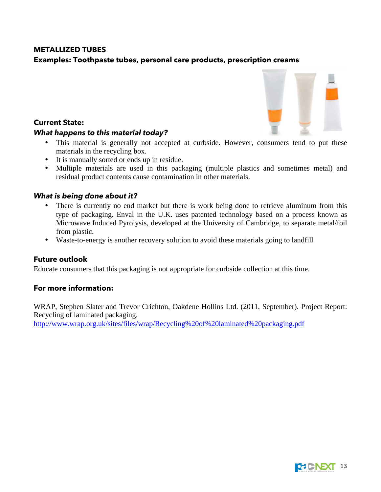### **METALLIZED TUBES**

#### **Examples: Toothpaste tubes, personal care products, prescription creams**

#### **Current State:**

#### *What happens to this material today?*

- This material is generally not accepted at curbside. However, consumers tend to put these materials in the recycling box.
- It is manually sorted or ends up in residue.
- Multiple materials are used in this packaging (multiple plastics and sometimes metal) and residual product contents cause contamination in other materials.

#### *What is being done about it?*

- There is currently no end market but there is work being done to retrieve aluminum from this type of packaging. Enval in the U.K. uses patented technology based on a process known as Microwave Induced Pyrolysis, developed at the University of Cambridge, to separate metal/foil from plastic.
- Waste-to-energy is another recovery solution to avoid these materials going to landfill

#### **Future outlook**

Educate consumers that this packaging is not appropriate for curbside collection at this time.

#### **For more information:**

WRAP, Stephen Slater and Trevor Crichton, Oakdene Hollins Ltd. (2011, September). Project Report: Recycling of laminated packaging.

http://www.wrap.org.uk/sites/files/wrap/Recycling%20of%20laminated%20packaging.pdf



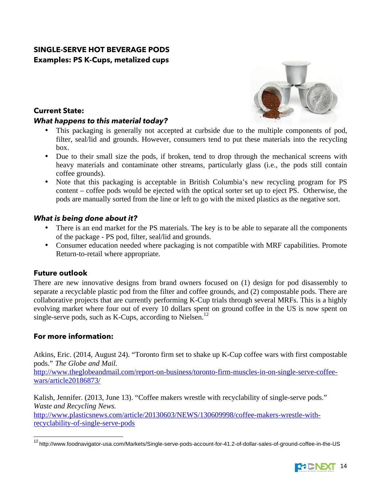## **SINGLE-SERVE HOT BEVERAGE PODS Examples: PS K-Cups, metalized cups**



### **Current State:**

#### *What happens to this material today?*

- This packaging is generally not accepted at curbside due to the multiple components of pod, filter, seal/lid and grounds. However, consumers tend to put these materials into the recycling box.
- Due to their small size the pods, if broken, tend to drop through the mechanical screens with heavy materials and contaminate other streams, particularly glass (i.e., the pods still contain coffee grounds).
- Note that this packaging is acceptable in British Columbia's new recycling program for PS content – coffee pods would be ejected with the optical sorter set up to eject PS. Otherwise, the pods are manually sorted from the line or left to go with the mixed plastics as the negative sort.

## *What is being done about it?*

- There is an end market for the PS materials. The key is to be able to separate all the components of the package - PS pod, filter, seal/lid and grounds.
- Consumer education needed where packaging is not compatible with MRF capabilities. Promote Return-to-retail where appropriate.

## **Future outlook**

There are new innovative designs from brand owners focused on (1) design for pod disassembly to separate a recyclable plastic pod from the filter and coffee grounds, and (2) compostable pods. There are collaborative projects that are currently performing K-Cup trials through several MRFs. This is a highly evolving market where four out of every 10 dollars spent on ground coffee in the US is now spent on single-serve pods, such as K-Cups, according to Nielsen.<sup>12</sup>

## **For more information:**

Atkins, Eric. (2014, August 24). "Toronto firm set to shake up K-Cup coffee wars with first compostable pods." *The Globe and Mail.*

http://www.theglobeandmail.com/report-on-business/toronto-firm-muscles-in-on-single-serve-coffeewars/article20186873/

Kalish, Jennifer. (2013, June 13). "Coffee makers wrestle with recyclability of single-serve pods." *Waste and Recycling News.*

http://www.plasticsnews.com/article/20130603/NEWS/130609998/coffee-makers-wrestle-withrecyclability-of-single-serve-pods

 <sup>12</sup> http://www.foodnavigator-usa.com/Markets/Single-serve-pods-account-for-41.2-of-dollar-sales-of-ground-coffee-in-the-US

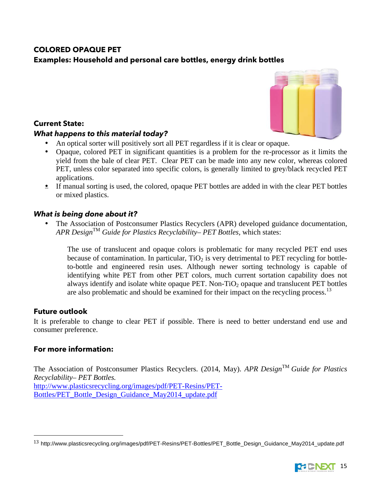## **COLORED OPAQUE PET**

## **Examples: Household and personal care bottles, energy drink bottles**

#### **Current State:**

#### *What happens to this material today?*

- An optical sorter will positively sort all PET regardless if it is clear or opaque.
- Opaque, colored PET in significant quantities is a problem for the re-processor as it limits the yield from the bale of clear PET. Clear PET can be made into any new color, whereas colored PET, unless color separated into specific colors, is generally limited to grey/black recycled PET applications.
- If manual sorting is used, the colored, opaque PET bottles are added in with the clear PET bottles or mixed plastics.

#### *What is being done about it?*

• The Association of Postconsumer Plastics Recyclers (APR) developed guidance documentation, *APR Design*TM *Guide for Plastics Recyclability– PET Bottles,* which states:

The use of translucent and opaque colors is problematic for many recycled PET end uses because of contamination. In particular,  $TiO<sub>2</sub>$  is very detrimental to PET recycling for bottleto-bottle and engineered resin uses. Although newer sorting technology is capable of identifying white PET from other PET colors, much current sortation capability does not always identify and isolate white opaque PET. Non-TiO<sub>2</sub> opaque and translucent PET bottles are also problematic and should be examined for their impact on the recycling process.<sup>13</sup>

#### **Future outlook**

It is preferable to change to clear PET if possible. There is need to better understand end use and consumer preference.

#### **For more information:**

 

The Association of Postconsumer Plastics Recyclers. (2014, May). *APR Design*TM *Guide for Plastics Recyclability– PET Bottles.* http://www.plasticsrecycling.org/images/pdf/PET-Resins/PET-Bottles/PET\_Bottle\_Design\_Guidance\_May2014\_update.pdf





<sup>&</sup>lt;sup>13</sup> http://www.plasticsrecycling.org/images/pdf/PET-Resins/PET-Bottles/PET\_Bottle\_Design\_Guidance\_May2014\_update.pdf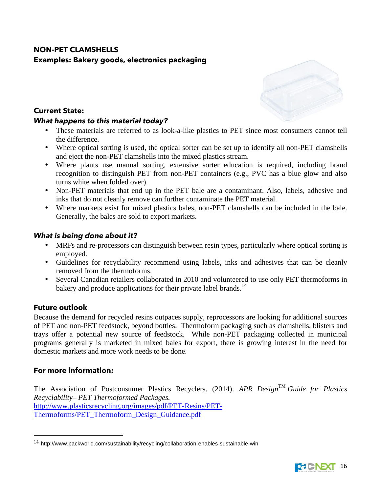## **NON-PET CLAMSHELLS Examples: Bakery goods, electronics packaging**

#### **Current State:**

#### *What happens to this material today?*

- These materials are referred to as look-a-like plastics to PET since most consumers cannot tell the difference.
- Where optical sorting is used, the optical sorter can be set up to identify all non-PET clamshells and eject the non-PET clamshells into the mixed plastics stream.
- Where plants use manual sorting, extensive sorter education is required, including brand recognition to distinguish PET from non-PET containers (e.g., PVC has a blue glow and also turns white when folded over).
- Non-PET materials that end up in the PET bale are a contaminant. Also, labels, adhesive and inks that do not cleanly remove can further contaminate the PET material.
- Where markets exist for mixed plastics bales, non-PET clamshells can be included in the bale. Generally, the bales are sold to export markets.

### *What is being done about it?*

- MRFs and re-processors can distinguish between resin types, particularly where optical sorting is employed.
- Guidelines for recyclability recommend using labels, inks and adhesives that can be cleanly removed from the thermoforms.
- Several Canadian retailers collaborated in 2010 and volunteered to use only PET thermoforms in bakery and produce applications for their private label brands.<sup>14</sup>

### **Future outlook**

Because the demand for recycled resins outpaces supply, reprocessors are looking for additional sources of PET and non-PET feedstock, beyond bottles. Thermoform packaging such as clamshells, blisters and trays offer a potential new source of feedstock. While non-PET packaging collected in municipal programs generally is marketed in mixed bales for export, there is growing interest in the need for domestic markets and more work needs to be done.

### **For more information:**

 

The Association of Postconsumer Plastics Recyclers. (2014). *APR Design*TM *Guide for Plastics Recyclability– PET Thermoformed Packages.* http://www.plasticsrecycling.org/images/pdf/PET-Resins/PET-Thermoforms/PET\_Thermoform\_Design\_Guidance.pdf



<sup>14</sup> http://www.packworld.com/sustainability/recycling/collaboration-enables-sustainable-win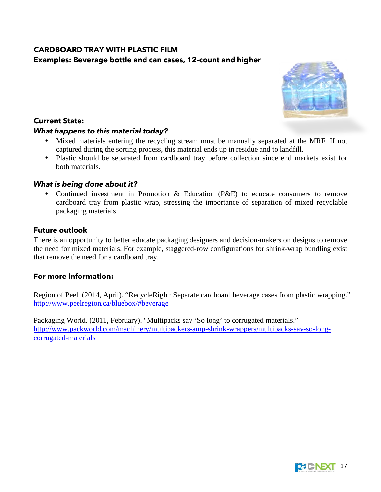## **CARDBOARD TRAY WITH PLASTIC FILM Examples: Beverage bottle and can cases, 12-count and higher**

#### **Current State:**

#### *What happens to this material today?*

- Mixed materials entering the recycling stream must be manually separated at the MRF. If not captured during the sorting process, this material ends up in residue and to landfill.
- Plastic should be separated from cardboard tray before collection since end markets exist for both materials.

#### *What is being done about it?*

• Continued investment in Promotion & Education (P&E) to educate consumers to remove cardboard tray from plastic wrap, stressing the importance of separation of mixed recyclable packaging materials.

#### **Future outlook**

There is an opportunity to better educate packaging designers and decision-makers on designs to remove the need for mixed materials. For example, staggered-row configurations for shrink-wrap bundling exist that remove the need for a cardboard tray.

### **For more information:**

Region of Peel. (2014, April). "RecycleRight: Separate cardboard beverage cases from plastic wrapping." http://www.peelregion.ca/bluebox/#beverage

Packaging World. (2011, February). "Multipacks say 'So long' to corrugated materials." http://www.packworld.com/machinery/multipackers-amp-shrink-wrappers/multipacks-say-so-longcorrugated-materials



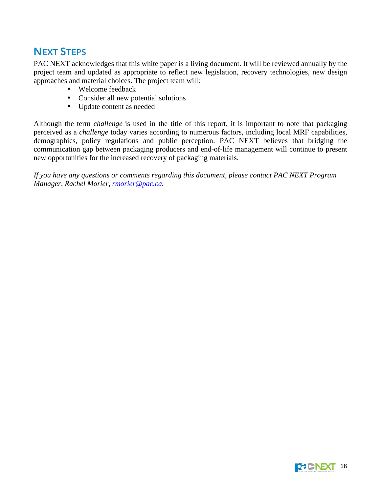# NEXT STEPS

PAC NEXT acknowledges that this white paper is a living document. It will be reviewed annually by the project team and updated as appropriate to reflect new legislation, recovery technologies, new design approaches and material choices. The project team will:

- Welcome feedback
- Consider all new potential solutions
- Update content as needed

Although the term *challenge* is used in the title of this report, it is important to note that packaging perceived as a *challenge* today varies according to numerous factors, including local MRF capabilities, demographics, policy regulations and public perception. PAC NEXT believes that bridging the communication gap between packaging producers and end-of-life management will continue to present new opportunities for the increased recovery of packaging materials.

*If you have any questions or comments regarding this document, please contact PAC NEXT Program Manager, Rachel Morier, rmorier@pac.ca*.

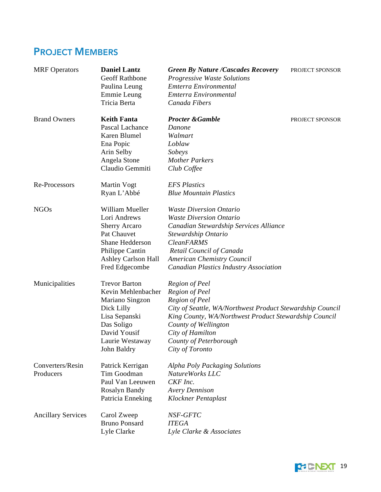# PROJECT MEMBERS

| <b>MRF</b> Operators          | <b>Daniel Lantz</b><br>Geoff Rathbone<br>Paulina Leung<br>Emmie Leung<br>Tricia Berta                                                                        | <b>Green By Nature /Cascades Recovery</b><br><b>Progressive Waste Solutions</b><br>Emterra Environmental<br>Emterra Environmental<br>Canada Fibers                                                                                                                       | PROJECT SPONSOR |
|-------------------------------|--------------------------------------------------------------------------------------------------------------------------------------------------------------|--------------------------------------------------------------------------------------------------------------------------------------------------------------------------------------------------------------------------------------------------------------------------|-----------------|
| <b>Brand Owners</b>           | <b>Keith Fanta</b><br>Pascal Lachance<br>Karen Blumel<br>Ena Popic<br>Arin Selby<br>Angela Stone<br>Claudio Gemmiti                                          | <b>Procter &amp; Gamble</b><br>Danone<br>Walmart<br>Loblaw<br>Sobeys<br><b>Mother Parkers</b><br>Club Coffee                                                                                                                                                             | PROJECT SPONSOR |
| Re-Processors                 | Martin Vogt<br>Ryan L'Abbé                                                                                                                                   | <b>EFS Plastics</b><br><b>Blue Mountain Plastics</b>                                                                                                                                                                                                                     |                 |
| <b>NGOs</b>                   | William Mueller<br>Lori Andrews<br><b>Sherry Arcaro</b><br>Pat Chauvet<br>Shane Hedderson<br>Philippe Cantin<br><b>Ashley Carlson Hall</b><br>Fred Edgecombe | <b>Waste Diversion Ontario</b><br><b>Waste Diversion Ontario</b><br>Canadian Stewardship Services Alliance<br>Stewardship Ontario<br><b>CleanFARMS</b><br>Retail Council of Canada<br><b>American Chemistry Council</b><br><b>Canadian Plastics Industry Association</b> |                 |
| Municipalities                | <b>Trevor Barton</b><br>Kevin Mehlenbacher<br>Mariano Singzon<br>Dick Lilly<br>Lisa Sepanski<br>Das Soligo<br>David Yousif<br>Laurie Westaway<br>John Baldry | Region of Peel<br>Region of Peel<br><b>Region of Peel</b><br>City of Seattle, WA/Northwest Product Stewardship Council<br>King County, WA/Northwest Product Stewardship Council<br>County of Wellington<br>City of Hamilton<br>County of Peterborough<br>City of Toronto |                 |
| Converters/Resin<br>Producers | Patrick Kerrigan<br>Tim Goodman<br>Paul Van Leeuwen<br>Rosalyn Bandy<br>Patricia Enneking                                                                    | Alpha Poly Packaging Solutions<br>NatureWorks LLC<br>CKF Inc.<br><b>Avery Dennison</b><br>Klockner Pentaplast                                                                                                                                                            |                 |
| <b>Ancillary Services</b>     | Carol Zweep<br><b>Bruno Ponsard</b><br>Lyle Clarke                                                                                                           | NSF-GFTC<br><b>ITEGA</b><br>Lyle Clarke & Associates                                                                                                                                                                                                                     |                 |